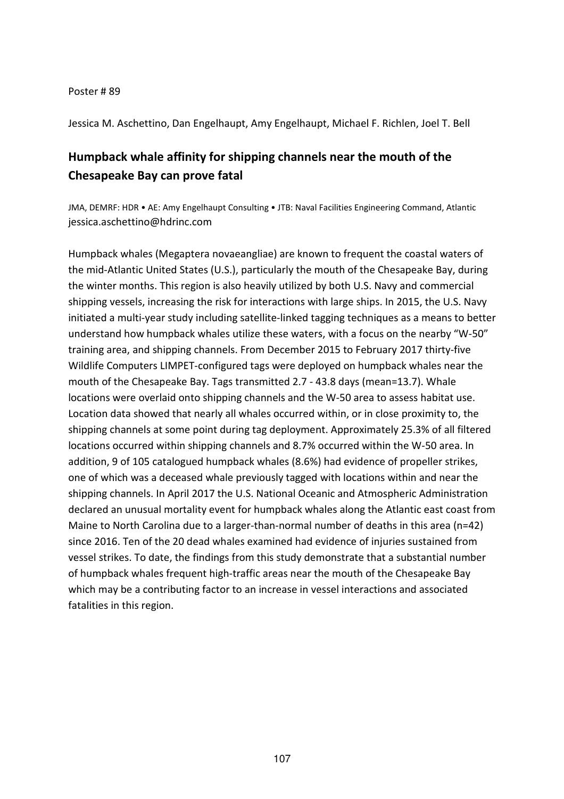## Poster # 89

Jessica M. Aschettino, Dan Engelhaupt, Amy Engelhaupt, Michael F. Richlen, Joel T. Bell

## **Humpback whale affinity for shipping channels near the mouth of the Chesapeake Bay can prove fatal**

JMA, DEMRF: HDR • AE: Amy Engelhaupt Consulting • JTB: Naval Facilities Engineering Command, Atlantic jessica.aschettino@hdrinc.com

Humpback whales (Megaptera novaeangliae) are known to frequent the coastal waters of the mid-Atlantic United States (U.S.), particularly the mouth of the Chesapeake Bay, during the winter months. This region is also heavily utilized by both U.S. Navy and commercial shipping vessels, increasing the risk for interactions with large ships. In 2015, the U.S. Navy initiated a multi-year study including satellite-linked tagging techniques as a means to better understand how humpback whales utilize these waters, with a focus on the nearby "W-50" training area, and shipping channels. From December 2015 to February 2017 thirty-five Wildlife Computers LIMPET-configured tags were deployed on humpback whales near the mouth of the Chesapeake Bay. Tags transmitted 2.7 - 43.8 days (mean=13.7). Whale locations were overlaid onto shipping channels and the W-50 area to assess habitat use. Location data showed that nearly all whales occurred within, or in close proximity to, the shipping channels at some point during tag deployment. Approximately 25.3% of all filtered locations occurred within shipping channels and 8.7% occurred within the W-50 area. In addition, 9 of 105 catalogued humpback whales (8.6%) had evidence of propeller strikes, one of which was a deceased whale previously tagged with locations within and near the shipping channels. In April 2017 the U.S. National Oceanic and Atmospheric Administration declared an unusual mortality event for humpback whales along the Atlantic east coast from Maine to North Carolina due to a larger-than-normal number of deaths in this area (n=42) since 2016. Ten of the 20 dead whales examined had evidence of injuries sustained from vessel strikes. To date, the findings from this study demonstrate that a substantial number of humpback whales frequent high-traffic areas near the mouth of the Chesapeake Bay which may be a contributing factor to an increase in vessel interactions and associated fatalities in this region.